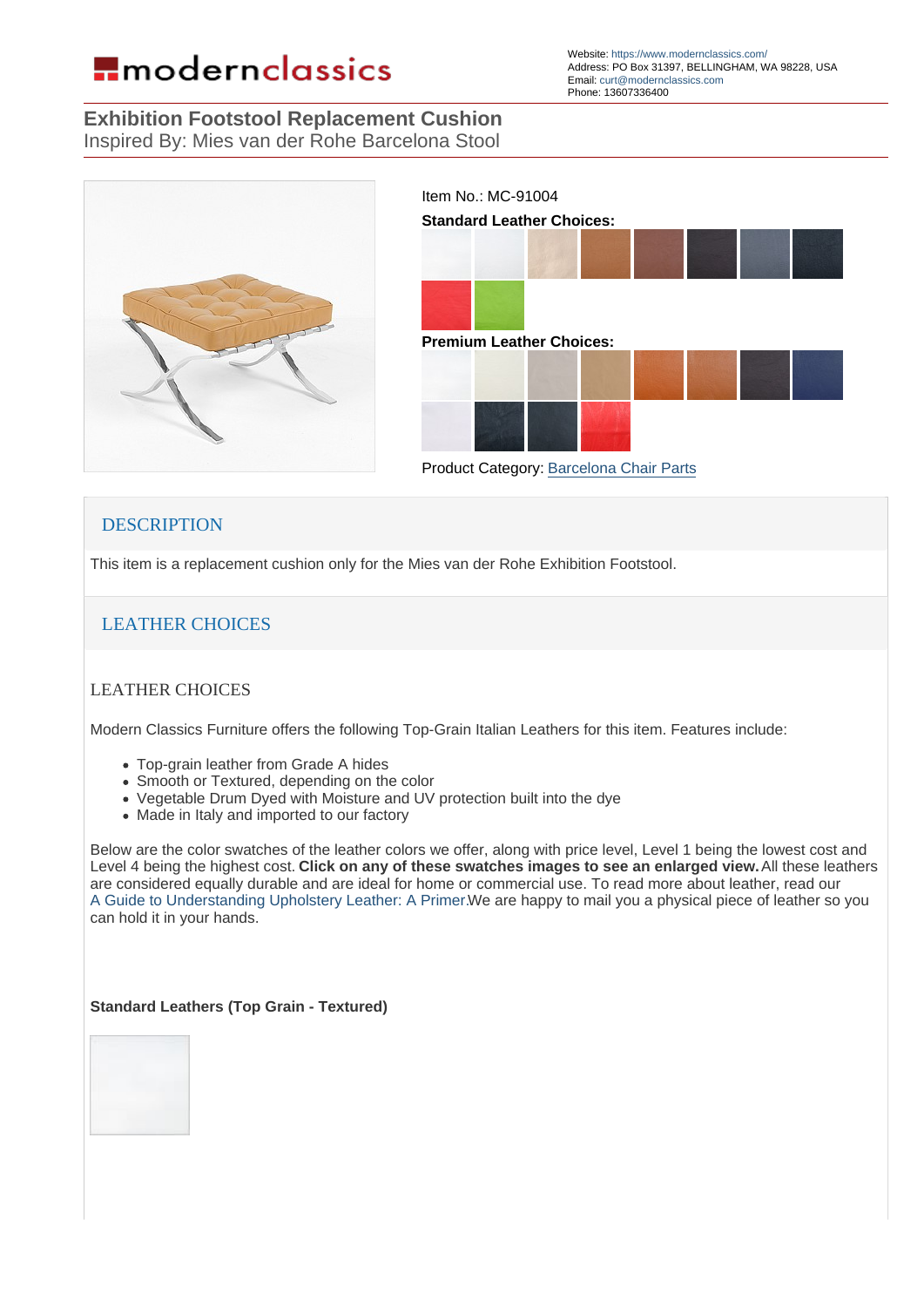Exhibition Footstool Replacement Cushion Inspired By: Mies van der Rohe Barcelona Stool

> Item No.: MC-91004 Standard Leather Choices:

> Premium Leather Choices:

Product Category: [Barcelona Chair Parts](https://www.modernclassics.com/store/pc/showsearchresults.asp?customfield=10&SearchValues=389)

## **DESCRIPTION**

This item is a replacement cushion only for the Mies van der Rohe Exhibition Footstool.

## LEATHER CHOICES

## LEATHER CHOICES

Modern Classics Furniture offers the following Top-Grain Italian Leathers for this item. Features include:

- Top-grain leather from Grade A hides
- Smooth or Textured, depending on the color
- Vegetable Drum Dyed with Moisture and UV protection built into the dye
- Made in Italy and imported to our factory

Below are the color swatches of the leather colors we offer, along with price level, Level 1 being the lowest cost and Level 4 being the highest cost. Click on any of these swatches images to see an enlarged view. All these leathers are considered equally durable and are ideal for home or commercial use. To read more about leather, read our A Guide to Understanding Upholstery Leather: A Primer.We are happy to mail you a physical piece of leather so you can hold it in your hands.

Standard Leathers (Top Grain - Textured)